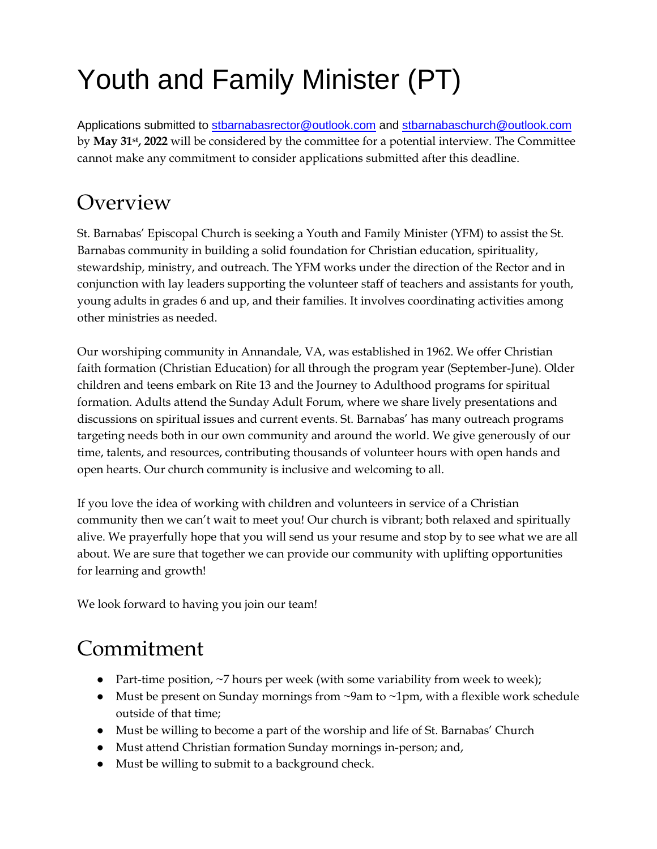# Youth and Family Minister (PT)

Applications submitted to [stbarnabasrector@outlook.com](mailto:stbarnabasrector@outlook.com) and [stbarnabaschurch@outlook.com](mailto:stbarnabasoffice@outlook.com) by **May 31st, 2022** will be considered by the committee for a potential interview. The Committee cannot make any commitment to consider applications submitted after this deadline.

### Overview

St. Barnabas' Episcopal Church is seeking a Youth and Family Minister (YFM) to assist the St. Barnabas community in building a solid foundation for Christian education, spirituality, stewardship, ministry, and outreach. The YFM works under the direction of the Rector and in conjunction with lay leaders supporting the volunteer staff of teachers and assistants for youth, young adults in grades 6 and up, and their families. It involves coordinating activities among other ministries as needed.

Our worshiping community in Annandale, VA, was established in 1962. We offer Christian faith formation (Christian Education) for all through the program year (September-June). Older children and teens embark on Rite 13 and the Journey to Adulthood programs for spiritual formation. Adults attend the Sunday Adult Forum, where we share lively presentations and discussions on spiritual issues and current events. St. Barnabas' has many outreach programs targeting needs both in our own community and around the world. We give generously of our time, talents, and resources, contributing thousands of volunteer hours with open hands and open hearts. Our church community is inclusive and welcoming to all.

If you love the idea of working with children and volunteers in service of a Christian community then we can't wait to meet you! Our church is vibrant; both relaxed and spiritually alive. We prayerfully hope that you will send us your resume and stop by to see what we are all about. We are sure that together we can provide our community with uplifting opportunities for learning and growth!

We look forward to having you join our team!

# Commitment

- Part-time position, ~7 hours per week (with some variability from week to week);
- Must be present on Sunday mornings from  $\sim$ 9am to  $\sim$ 1pm, with a flexible work schedule outside of that time;
- Must be willing to become a part of the worship and life of St. Barnabas' Church
- Must attend Christian formation Sunday mornings in-person; and,
- Must be willing to submit to a background check.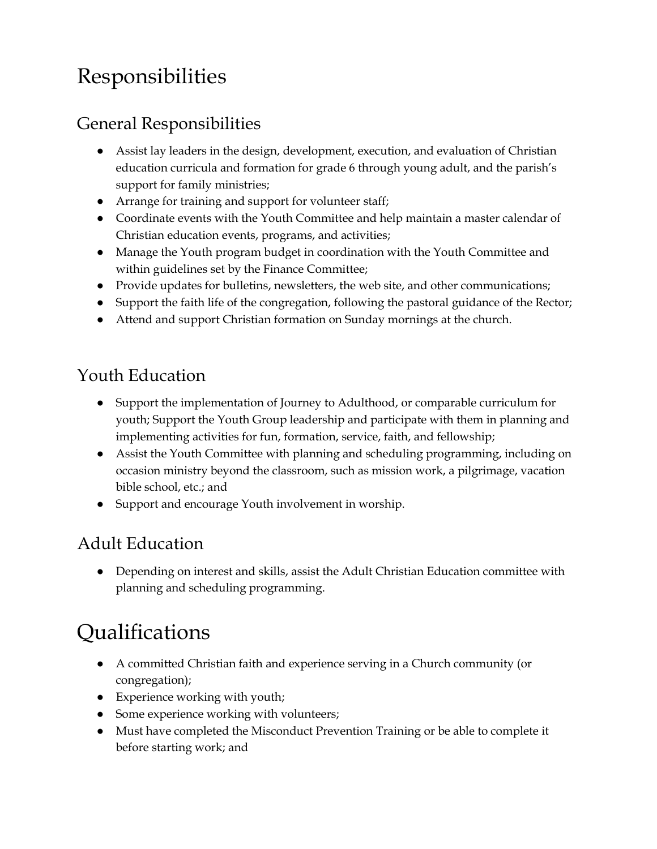# Responsibilities

#### General Responsibilities

- Assist lay leaders in the design, development, execution, and evaluation of Christian education curricula and formation for grade 6 through young adult, and the parish's support for family ministries;
- Arrange for training and support for volunteer staff;
- Coordinate events with the Youth Committee and help maintain a master calendar of Christian education events, programs, and activities;
- Manage the Youth program budget in coordination with the Youth Committee and within guidelines set by the Finance Committee;
- Provide updates for bulletins, newsletters, the web site, and other communications;
- Support the faith life of the congregation, following the pastoral guidance of the Rector;
- Attend and support Christian formation on Sunday mornings at the church.

#### Youth Education

- Support the implementation of Journey to Adulthood, or comparable curriculum for youth; Support the Youth Group leadership and participate with them in planning and implementing activities for fun, formation, service, faith, and fellowship;
- Assist the Youth Committee with planning and scheduling programming, including on occasion ministry beyond the classroom, such as mission work, a pilgrimage, vacation bible school, etc.; and
- Support and encourage Youth involvement in worship.

#### Adult Education

● Depending on interest and skills, assist the Adult Christian Education committee with planning and scheduling programming.

### Qualifications

- A committed Christian faith and experience serving in a Church community (or congregation);
- Experience working with youth;
- Some experience working with volunteers;
- Must have completed the Misconduct Prevention Training or be able to complete it before starting work; and